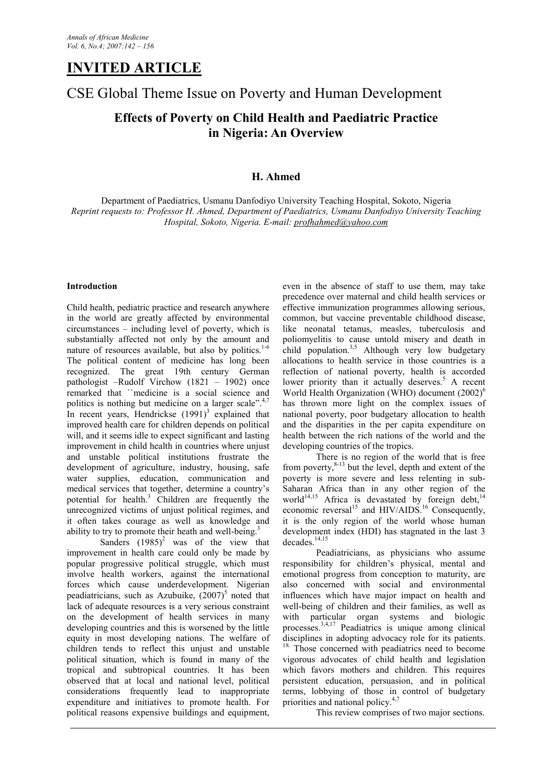# **INVITED ARTICLE**

# CSE Global Theme Issue on Poverty and Human Development

# **Effects of Poverty on Child Health and Paediatric Practice in Nigeria: An Overview**

# **H. Ahmed**

Department of Paediatrics, Usmanu Danfodiyo University Teaching Hospital, Sokoto, Nigeria *Reprint requests to: Professor H. Ahmed, Department of Paediatrics, Usmanu Danfodiyo University Teaching Hospital, Sokoto, Nigeria. E-mail: profhahmed@yahoo.com*

## **Introduction**

Child health, pediatric practice and research anywhere in the world are greatly affected by environmental circumstances – including level of poverty, which is substantially affected not only by the amount and nature of resources available, but also by politics. $1-6$ The political content of medicine has long been recognized. The great 19th century German pathologist –Rudolf Virchow (1821 – 1902) once remarked that ``medicine is a social science and politics is nothing but medicine on a larger scale". $4.7$ In recent years, Hendrickse  $(1991)^3$  explained that improved health care for children depends on political will, and it seems idle to expect significant and lasting improvement in child health in countries where unjust and unstable political institutions frustrate the development of agriculture, industry, housing, safe water supplies, education, communication and medical services that together, determine a country's potential for health.<sup>3</sup> Children are frequently the unrecognized victims of unjust political regimes, and it often takes courage as well as knowledge and ability to try to promote their heath and well-being.<sup>3</sup>

Sanders  $(1985)^2$  was of the view that improvement in health care could only be made by popular progressive political struggle, which must involve health workers, against the international forces which cause underdevelopment. Nigerian peadiatricians, such as Azubuike,  $(2007)^5$  noted that lack of adequate resources is a very serious constraint on the development of health services in many developing countries and this is worsened by the little equity in most developing nations. The welfare of children tends to reflect this unjust and unstable political situation, which is found in many of the tropical and subtropical countries. It has been observed that at local and national level, political considerations frequently lead to inappropriate expenditure and initiatives to promote health. For political reasons expensive buildings and equipment,

even in the absence of staff to use them, may take precedence over maternal and child health services or effective immunization programmes allowing serious, common, but vaccine preventable childhood disease, like neonatal tetanus, measles, tuberculosis and poliomyelitis to cause untold misery and death in child population.<sup>3,5</sup> Although very low budgetary allocations to health service in those countries is a reflection of national poverty, health is accorded lower priority than it actually deserves.<sup>5</sup> A recent World Health Organization (WHO) document  $(2002)^6$ has thrown more light on the complex issues of national poverty, poor budgetary allocation to health and the disparities in the per capita expenditure on health between the rich nations of the world and the developing countries of the tropics.

There is no region of the world that is free from poverty, $8-13$  but the level, depth and extent of the poverty is more severe and less relenting in sub-Saharan Africa than in any other region of the world<sup>14,15</sup> Africa is devastated by foreign debt,<sup>14</sup> economic reversal<sup>15</sup> and HIV/AIDS.<sup>16</sup> Consequently, it is the only region of the world whose human development index (HDI) has stagnated in the last 3  $decades.<sup>14,15</sup>$ 

Peadiatricians, as physicians who assume responsibility for children's physical, mental and emotional progress from conception to maturity, are also concerned with social and environmental influences which have major impact on health and well-being of children and their families, as well as with particular organ systems and biologic processes.3,4,17 Peadiatrics is unique among clinical disciplines in adopting advocacy role for its patients. <sup>18.</sup> Those concerned with peadiatrics need to become vigorous advocates of child health and legislation which favors mothers and children. This requires persistent education, persuasion, and in political terms, lobbying of those in control of budgetary priorities and national policy. $4,7$ 

This review comprises of two major sections.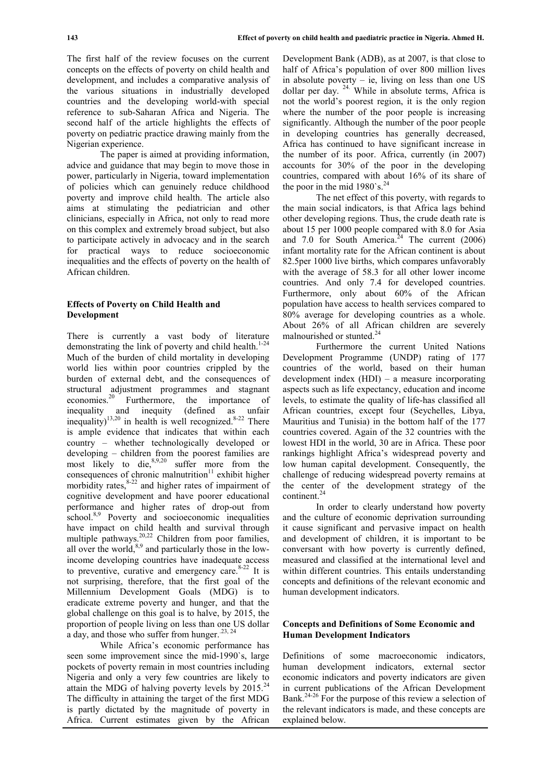The first half of the review focuses on the current concepts on the effects of poverty on child health and development, and includes a comparative analysis of the various situations in industrially developed countries and the developing world-with special reference to sub-Saharan Africa and Nigeria. The second half of the article highlights the effects of poverty on pediatric practice drawing mainly from the Nigerian experience.

The paper is aimed at providing information, advice and guidance that may begin to move those in power, particularly in Nigeria, toward implementation of policies which can genuinely reduce childhood poverty and improve child health. The article also aims at stimulating the pediatrician and other clinicians, especially in Africa, not only to read more on this complex and extremely broad subject, but also to participate actively in advocacy and in the search for practical ways to reduce socioeconomic inequalities and the effects of poverty on the health of African children.

### **Effects of Poverty on Child Health and Development**

There is currently a vast body of literature demonstrating the link of poverty and child health. $1-24$ Much of the burden of child mortality in developing world lies within poor countries crippled by the burden of external debt, and the consequences of structural adjustment programmes and stagnant economies.<sup>20</sup> Furthermore, the importance of inequality and inequity (defined as unfair inequality)<sup>13,20</sup> in health is well recognized.<sup>8-22</sup> There is ample evidence that indicates that within each country – whether technologically developed or developing – children from the poorest families are most likely to die, $8,9,20$  suffer more from the consequences of chronic malnutrition $11$  exhibit higher morbidity rates,  $8-22$  and higher rates of impairment of t cognitive development and have poorer educational performance and higher rates of drop-out from school.<sup>8,9</sup> Poverty and socioeconomic inequalities have impact on child health and survival through multiple pathways.<sup>20,22</sup> Children from poor families, all over the world, $8,9$  and particularly those in the lowincome developing countries have inadequate access to preventive, curative and emergency care. $8-22$  It is not surprising, therefore, that the first goal of the Millennium Development Goals (MDG) is to eradicate extreme poverty and hunger, and that the global challenge on this goal is to halve, by 2015, the proportion of people living on less than one US dollar a day, and those who suffer from hunger. $^{23, 24}$ 

While Africa's economic performance has seen some improvement since the mid-1990`s, large pockets of poverty remain in most countries including Nigeria and only a very few countries are likely to attain the MDG of halving poverty levels by  $2015.^{24}$ The difficulty in attaining the target of the first MDG is partly dictated by the magnitude of poverty in Africa. Current estimates given by the African

Development Bank (ADB), as at 2007, is that close to half of Africa's population of over 800 million lives in absolute poverty  $-$  ie, living on less than one US dollar per day.  $24.$  While in absolute terms, Africa is not the world's poorest region, it is the only region where the number of the poor people is increasing significantly. Although the number of the poor people in developing countries has generally decreased, Africa has continued to have significant increase in the number of its poor. Africa, currently (in 2007) accounts for 30% of the poor in the developing countries, compared with about 16% of its share of the poor in the mid 1980`s.<sup>24</sup>

The net effect of this poverty, with regards to the main social indicators, is that Africa lags behind other developing regions. Thus, the crude death rate is about 15 per 1000 people compared with 8.0 for Asia and  $7.0$  for South America.<sup>24</sup> The current  $(2006)$ infant mortality rate for the African continent is about 82.5per 1000 live births, which compares unfavorably with the average of 58.3 for all other lower income countries. And only 7.4 for developed countries. Furthermore, only about 60% of the African population have access to health services compared to 80% average for developing countries as a whole. About 26% of all African children are severely malnourished or stunted.<sup>24</sup>

Furthermore the current United Nations Development Programme (UNDP) rating of 177 countries of the world, based on their human development index (HDI) – a measure incorporating aspects such as life expectancy, education and income levels, to estimate the quality of life-has classified all African countries, except four (Seychelles, Libya, Mauritius and Tunisia) in the bottom half of the 177 countries covered. Again of the 32 countries with the lowest HDI in the world, 30 are in Africa. These poor rankings highlight Africa's widespread poverty and low human capital development. Consequently, the challenge of reducing widespread poverty remains at the center of the development strategy of the continent.<sup>24</sup>

In order to clearly understand how poverty and the culture of economic deprivation surrounding it cause significant and pervasive impact on health and development of children, it is important to be conversant with how poverty is currently defined, measured and classified at the international level and within different countries. This entails understanding concepts and definitions of the relevant economic and human development indicators.

### **Concepts and Definitions of Some Economic and Human Development Indicators**

Definitions of some macroeconomic indicators, human development indicators, external sector economic indicators and poverty indicators are given in current publications of the African Development Bank.<sup>24-26</sup> For the purpose of this review a selection of the relevant indicators is made, and these concepts are explained below.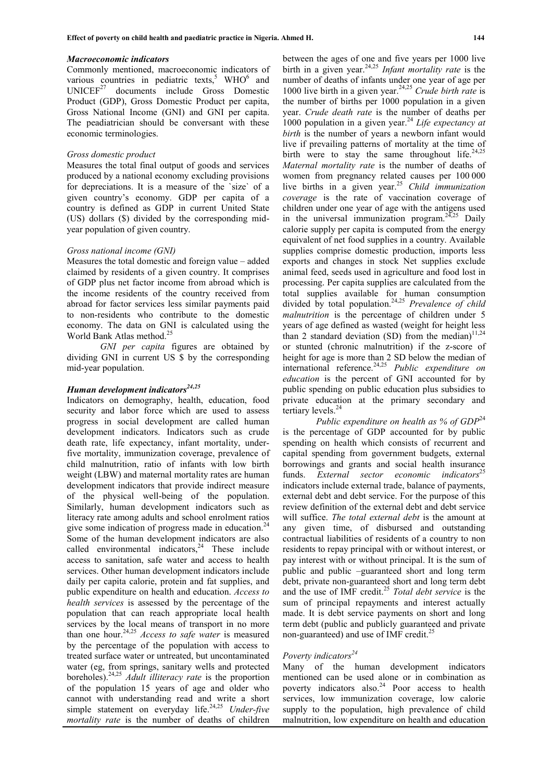#### *Macroeconomic indicators*

Commonly mentioned, macroeconomic indicators of various countries in pediatric texts,<sup>5</sup> WHO<sup>6</sup> and  $UNICEF<sup>27</sup>$  documents include Gross Domestic Product (GDP), Gross Domestic Product per capita, Gross National Income (GNI) and GNI per capita. The peadiatrician should be conversant with these economic terminologies.

#### *Gross domestic product*

Measures the total final output of goods and services produced by a national economy excluding provisions for depreciations. It is a measure of the `size` of a given country's economy. GDP per capita of a country is defined as GDP in current United State (US) dollars (\$) divided by the corresponding midyear population of given country.

#### *Gross national income (GNI)*

Measures the total domestic and foreign value – added claimed by residents of a given country. It comprises of GDP plus net factor income from abroad which is the income residents of the country received from abroad for factor services less similar payments paid to non-residents who contribute to the domestic economy. The data on GNI is calculated using the World Bank Atlas method.<sup>25</sup>

*GNI per capita* figures are obtained by dividing GNI in current US \$ by the corresponding mid-year population.

# *Human development indicators24,25*

Indicators on demography, health, education, food security and labor force which are used to assess progress in social development are called human development indicators. Indicators such as crude death rate, life expectancy, infant mortality, underfive mortality, immunization coverage, prevalence of child malnutrition, ratio of infants with low birth weight (LBW) and maternal mortality rates are human development indicators that provide indirect measure of the physical well-being of the population. Similarly, human development indicators such as literacy rate among adults and school enrolment ratios give some indication of progress made in education. $24$ Some of the human development indicators are also called environmental indicators.<sup>24</sup> These include access to sanitation, safe water and access to health services. Other human development indicators include daily per capita calorie, protein and fat supplies, and public expenditure on health and education. *Access to health services* is assessed by the percentage of the population that can reach appropriate local health services by the local means of transport in no more than one hour.24,25 *Access to safe water* is measured by the percentage of the population with access to treated surface water or untreated, but uncontaminated water (eg, from springs, sanitary wells and protected boreholes). 24,25 *Adult illiteracy rate* is the proportion of the population 15 years of age and older who cannot with understanding read and write a short simple statement on everyday life.<sup>24,25</sup> *Under-five mortality rate* is the number of deaths of children

between the ages of one and five years per 1000 live birth in a given year.24,25 *Infant mortality rate* is the number of deaths of infants under one year of age per 1000 live birth in a given year.24,25 *Crude birth rate* is the number of births per 1000 population in a given year. *Crude death rate* is the number of deaths per 1000 population in a given year.<sup>24</sup> *Life expectancy at birth* is the number of years a newborn infant would live if prevailing patterns of mortality at the time of birth were to stay the same throughout life.<sup>24,25</sup> *Maternal mortality rate* is the number of deaths of women from pregnancy related causes per 100 000 live births in a given year.<sup>25</sup> *Child immunization coverage* is the rate of vaccination coverage of children under one year of age with the antigens used in the universal immunization program.<sup>24,25</sup> Daily calorie supply per capita is computed from the energy equivalent of net food supplies in a country. Available supplies comprise domestic production, imports less exports and changes in stock Net supplies exclude animal feed, seeds used in agriculture and food lost in processing. Per capita supplies are calculated from the total supplies available for human consumption divided by total population.24,25 *Prevalence of child malnutrition* is the percentage of children under 5 years of age defined as wasted (weight for height less than 2 standard deviation (SD) from the median) $11,24$ or stunted (chronic malnutrition) if the z-score of height for age is more than 2 SD below the median of international reference.24,25 *Public expenditure on education* is the percent of GNI accounted for by

public spending on public education plus subsidies to private education at the primary secondary and tertiary levels.<sup>24</sup> *Public expenditure on health as % of GDP*<sup>24</sup> is the percentage of GDP accounted for by public spending on health which consists of recurrent and capital spending from government budgets, external borrowings and grants and social health insurance funds. *External sector economic indicators*<sup>25</sup> indicators include external trade, balance of payments,

external debt and debt service. For the purpose of this review definition of the external debt and debt service will suffice. *The total external debt* is the amount at any given time, of disbursed and outstanding contractual liabilities of residents of a country to non residents to repay principal with or without interest, or pay interest with or without principal. It is the sum of public and public –guaranteed short and long term debt, private non-guaranteed short and long term debt and the use of IMF credit.<sup>25</sup> *Total debt service* is the sum of principal repayments and interest actually made. It is debt service payments on short and long term debt (public and publicly guaranteed and private non-guaranteed) and use of IMF credit.<sup>25</sup>

# *Poverty indicators<sup>24</sup>*

Many of the human development indicators mentioned can be used alone or in combination as poverty indicators also.<sup>24</sup> Poor access to health services, low immunization coverage, low calorie supply to the population, high prevalence of child malnutrition, low expenditure on health and education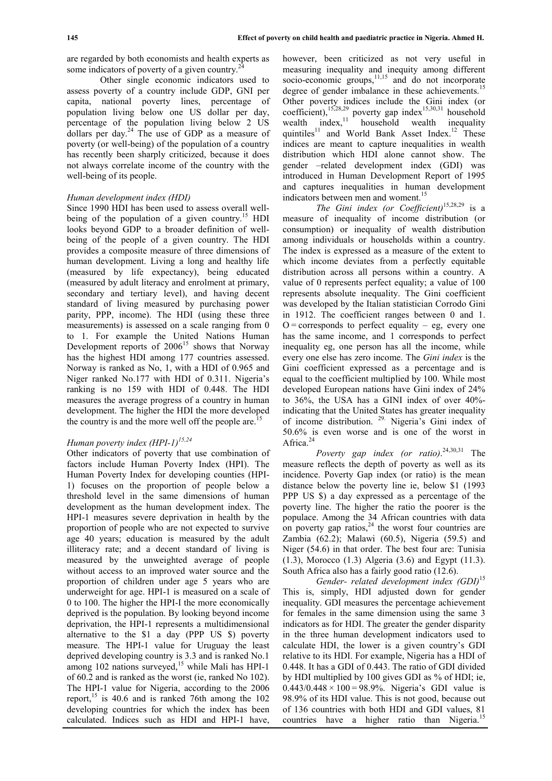are regarded by both economists and health experts as some indicators of poverty of a given country.<sup>2</sup>

Other single economic indicators used to assess poverty of a country include GDP, GNI per capita, national poverty lines, percentage of population living below one US dollar per day, percentage of the population living below 2 US dollars per day. $^{24}$  The use of GDP as a measure of poverty (or well-being) of the population of a country has recently been sharply criticized, because it does not always correlate income of the country with the well-being of its people.

## *Human development index (HDI)*

Since 1990 HDI has been used to assess overall wellbeing of the population of a given country.<sup>15</sup> HDI looks beyond GDP to a broader definition of wellbeing of the people of a given country. The HDI provides a composite measure of three dimensions of human development. Living a long and healthy life (measured by life expectancy), being educated (measured by adult literacy and enrolment at primary, secondary and tertiary level), and having decent standard of living measured by purchasing power parity, PPP, income). The HDI (using these three measurements) is assessed on a scale ranging from 0 to 1. For example the United Nations Human Development reports of  $2006^{15}$  shows that Norway has the highest HDI among 177 countries assessed. Norway is ranked as No, 1, with a HDI of 0.965 and Niger ranked No.177 with HDI of 0.311. Nigeria's ranking is no 159 with HDI of 0.448. The HDI measures the average progress of a country in human development. The higher the HDI the more developed the country is and the more well off the people are.<sup>1</sup>

## *Human poverty index (HPI-1)15,24*

Other indicators of poverty that use combination of factors include Human Poverty Index (HPI). The Human Poverty Index for developing counties (HPI-1) focuses on the proportion of people below a threshold level in the same dimensions of human development as the human development index. The HPI-1 measures severe deprivation in health by the proportion of people who are not expected to survive age 40 years; education is measured by the adult illiteracy rate; and a decent standard of living is measured by the unweighted average of people without access to an improved water source and the proportion of children under age 5 years who are underweight for age. HPI-1 is measured on a scale of 0 to 100. The higher the HPI-I the more economically deprived is the population. By looking beyond income deprivation, the HPI-1 represents a multidimensional alternative to the \$1 a day (PPP US \$) poverty measure. The HPI-1 value for Uruguay the least deprived developing country is 3.3 and is ranked No.1 among  $102$  nations surveyed,<sup>15</sup> while Mali has HPI-1 of 60.2 and is ranked as the worst (ie, ranked No 102). The HPI-1 value for Nigeria, according to the 2006 report, <sup>15</sup> is 40.6 and is ranked 76th among the  $102$ developing countries for which the index has been calculated. Indices such as HDI and HPI-1 have,

however, been criticized as not very useful in measuring inequality and inequity among different socio-economic groups, $11,15$  and do not incorporate degree of gender imbalance in these achievements.<sup>15</sup> Other poverty indices include the Gini index (or coefficient),<sup>15,28,29</sup> poverty gap index<sup>15,30,31</sup> household wealth index, $11$  household wealth inequality quintiles<sup>11</sup> and World Bank Asset Index.<sup>12</sup> These indices are meant to capture inequalities in wealth distribution which HDI alone cannot show. The gender –related development index (GDI) was introduced in Human Development Report of 1995 and captures inequalities in human development indicators between men and woment.<sup>15</sup>

*The Gini index (or Coefficient)*15,28,29 is a measure of inequality of income distribution (or consumption) or inequality of wealth distribution among individuals or households within a country. The index is expressed as a measure of the extent to which income deviates from a perfectly equitable distribution across all persons within a country. A value of 0 represents perfect equality; a value of 100 represents absolute inequality. The Gini coefficient was developed by the Italian statistician Corrodo Gini in 1912. The coefficient ranges between 0 and 1.  $O =$  corresponds to perfect equality – eg, every one has the same income, and 1 corresponds to perfect inequality eg, one person has all the income, while every one else has zero income. The *Gini index* is the Gini coefficient expressed as a percentage and is equal to the coefficient multiplied by 100. While most developed European nations have Gini index of 24% to 36%, the USA has a GINI index of over 40% indicating that the United States has greater inequality of income distribution. 29. Nigeria's Gini index of 50.6% is even worse and is one of the worst in Africa.<sup>24</sup>

*Poverty gap index (or ratio)*. 24,30,31 The measure reflects the depth of poverty as well as its incidence. Poverty Gap index (or ratio) is the mean distance below the poverty line ie, below \$1 (1993 PPP US \$) a day expressed as a percentage of the poverty line. The higher the ratio the poorer is the populace. Among the 34 African countries with data on poverty gap ratios,  $24$  the worst four countries are Zambia (62.2); Malawi (60.5), Nigeria (59.5) and Niger (54.6) in that order. The best four are: Tunisia (1.3), Morocco (1.3) Algeria (3.6) and Egypt (11.3). South Africa also has a fairly good ratio (12.6).

*Gender- related development index (GDI)*<sup>15</sup> This is, simply, HDI adjusted down for gender inequality. GDI measures the percentage achievement for females in the same dimension using the same 3 indicators as for HDI. The greater the gender disparity in the three human development indicators used to calculate HDI, the lower is a given country's GDI relative to its HDI. For example, Nigeria has a HDI of 0.448. It has a GDI of 0.443. The ratio of GDI divided by HDI multiplied by 100 gives GDI as % of HDI; ie,  $0.443/0.448 \times 100 = 98.9\%$ . Nigeria's GDI value is 98.9% of its HDI value. This is not good, because out of 136 countries with both HDI and GDI values, 81 countries have a higher ratio than Nigeria.<sup>15</sup>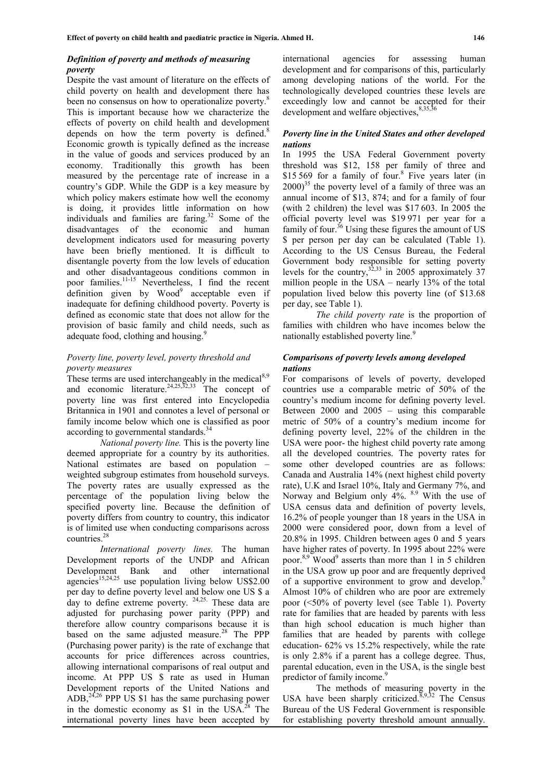## *Definition of poverty and methods of measuring poverty*

Despite the vast amount of literature on the effects of child poverty on health and development there has been no consensus on how to operationalize poverty.<sup>8</sup> This is important because how we characterize the effects of poverty on child health and development depends on how the term poverty is defined. $8$ Economic growth is typically defined as the increase in the value of goods and services produced by an economy. Traditionally this growth has been measured by the percentage rate of increase in a country's GDP. While the GDP is a key measure by which policy makers estimate how well the economy is doing, it provides little information on how individuals and families are faring. $32$  Some of the disadvantages of the economic and human development indicators used for measuring poverty have been briefly mentioned. It is difficult to disentangle poverty from the low levels of education and other disadvantageous conditions common in poor families.<sup>11-15</sup> Nevertheless, I find the recent  $\det$  definition given by Wood<sup>9</sup> acceptable even if p inadequate for defining childhood poverty. Poverty is defined as economic state that does not allow for the provision of basic family and child needs, such as adequate food, clothing and housing.

### *Poverty line, poverty level, poverty threshold and poverty measures*

These terms are used interchangeably in the medical<sup>8,9</sup> and economic literature.  $24,25,32,33$  The concept of poverty line was first entered into Encyclopedia Britannica in 1901 and connotes a level of personal or family income below which one is classified as poor according to governmental standards.<sup>34</sup>

*National poverty line.* This is the poverty line deemed appropriate for a country by its authorities. National estimates are based on population – weighted subgroup estimates from household surveys. The poverty rates are usually expressed as the percentage of the population living below the specified poverty line. Because the definition of poverty differs from country to country, this indicator is of limited use when conducting comparisons across countries.<sup>28</sup>

*International poverty lines.* The human Development reports of the UNDP and African Development Bank and other international  $a$ gencies<sup>15,24,25</sup> use population living below US\$2.00 per day to define poverty level and below one US \$ a day to define extreme poverty. 24,25. These data are adjusted for purchasing power parity (PPP) and therefore allow country comparisons because it is based on the same adjusted measure.<sup>28</sup> The PPP (Purchasing power parity) is the rate of exchange that accounts for price differences across countries, allowing international comparisons of real output and income. At PPP US \$ rate as used in Human Development reports of the United Nations and ADB,  $24,26$  PPP US \$1 has the same purchasing power in the domestic economy as  $$1$  in the USA.<sup>28</sup> The international poverty lines have been accepted by

international agencies for assessing human development and for comparisons of this, particularly among developing nations of the world. For the technologically developed countries these levels are exceedingly low and cannot be accepted for their development and welfare objectives, 8,35,3

### *Poverty line in the United States and other developed nations*

In 1995 the USA Federal Government poverty threshold was \$12, 158 per family of three and \$15 569 for a family of four.<sup>8</sup> Five years later (in  $2000$ <sup>35</sup> the poverty level of a family of three was an annual income of \$13, 874; and for a family of four (with 2 children) the level was \$17 603. In 2005 the official poverty level was \$19 971 per year for a family of four.<sup>36</sup> Using these figures the amount of US \$ per person per day can be calculated (Table 1). According to the US Census Bureau, the Federal Government body responsible for setting poverty levels for the country,  $32,33$  in 2005 approximately 37 million people in the USA – nearly 13% of the total population lived below this poverty line (of \$13.68 per day, see Table 1).

*The child poverty rate* is the proportion of families with children who have incomes below the nationally established poverty line.<sup>9</sup>

### *Comparisons of poverty levels among developed nations*

For comparisons of levels of poverty, developed countries use a comparable metric of 50% of the country's medium income for defining poverty level. Between 2000 and 2005 – using this comparable metric of 50% of a country's medium income for defining poverty level, 22% of the children in the USA were poor- the highest child poverty rate among all the developed countries. The poverty rates for some other developed countries are as follows: Canada and Australia 14% (next highest child poverty rate), U.K and Israel 10%, Italy and Germany 7%, and Norway and Belgium only 4%. <sup>8.9</sup> With the use of USA census data and definition of poverty levels, 16.2% of people younger than 18 years in the USA in 2000 were considered poor, down from a level of 20.8% in 1995. Children between ages 0 and 5 years have higher rates of poverty. In 1995 about 22% were poor.<sup>8,9</sup> Wood<sup>9</sup> asserts than more than 1 in 5 children in the USA grow up poor and are frequently deprived of a supportive environment to grow and develop.<sup>9</sup> Almost 10% of children who are poor are extremely poor (<50% of poverty level (see Table 1). Poverty rate for families that are headed by parents with less than high school education is much higher than families that are headed by parents with college education- 62% vs 15.2% respectively, while the rate is only 2.8% if a parent has a college degree. Thus, parental education, even in the USA, is the single best predictor of family income.<sup>9</sup>

The methods of measuring poverty in the USA have been sharply criticized.<sup>8,9,32</sup> The Census Bureau of the US Federal Government is responsible for establishing poverty threshold amount annually.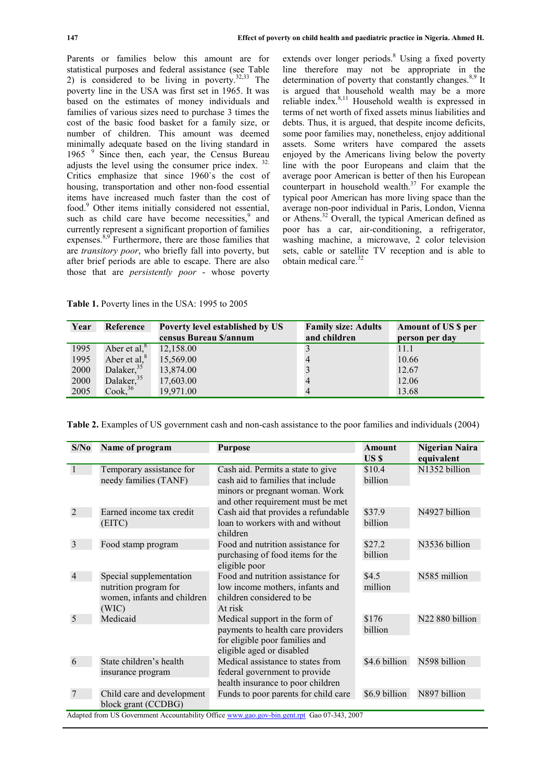Parents or families below this amount are for statistical purposes and federal assistance (see Table 2) is considered to be living in poverty. $32,33$  The poverty line in the USA was first set in 1965. It was based on the estimates of money individuals and families of various sizes need to purchase 3 times the cost of the basic food basket for a family size, or number of children. This amount was deemed minimally adequate based on the living standard in 1965 $\degree$  Since then, each year, the Census Bureau adjusts the level using the consumer price index. 32. Critics emphasize that since 1960`s the cost of housing, transportation and other non-food essential items have increased much faster than the cost of food.<sup>9</sup> Other items initially considered not essential, such as child care have become necessities,<sup>9</sup> and currently represent a significant proportion of families expenses.<sup>8,9</sup> Furthermore, there are those families that are *transitory poor*, who briefly fall into poverty, but after brief periods are able to escape. There are also those that are *persistently poor* - whose poverty

extends over longer periods.<sup>8</sup> Using a fixed poverty line therefore may not be appropriate in the determination of poverty that constantly changes. $8,9$  It is argued that household wealth may be a more reliable index. $8,11$  Household wealth is expressed in terms of net worth of fixed assets minus liabilities and debts. Thus, it is argued, that despite income deficits, some poor families may, nonetheless, enjoy additional assets. Some writers have compared the assets enjoyed by the Americans living below the poverty line with the poor Europeans and claim that the average poor American is better of then his European counterpart in household wealth.<sup>37</sup> For example the typical poor American has more living space than the average non-poor individual in Paris, London, Vienna or Athens.<sup>32</sup> Overall, the typical American defined as poor has a car, air-conditioning, a refrigerator, washing machine, a microwave, 2 color television sets, cable or satellite TV reception and is able to obtain medical care  $32$ 

**Table 1.** Poverty lines in the USA: 1995 to 2005

| Year | Reference              | Poverty level established by US | <b>Family size: Adults</b> | <b>Amount of US \$ per</b> |
|------|------------------------|---------------------------------|----------------------------|----------------------------|
|      |                        | census Bureau \$/annum          | and children               | person per day             |
| 1995 | Aber et al, $8$        | 12,158.00                       |                            | 11.1                       |
| 1995 | Aber et al, $8$        | 15,569.00                       |                            | 10.66                      |
| 2000 | Dalaker, $35$          | 13,874.00                       |                            | 12.67                      |
| 2000 | Dalaker, <sup>35</sup> | 17,603.00                       | $\overline{4}$             | 12.06                      |
| 2005 | Cook <sub>36</sub>     | 19,971.00                       | $\overline{4}$             | 13.68                      |

**Table 2.** Examples of US government cash and non-cash assistance to the poor families and individuals (2004)

| S/No           | Name of program             | <b>Purpose</b>                       | <b>Amount</b> | Nigerian Naira              |
|----------------|-----------------------------|--------------------------------------|---------------|-----------------------------|
|                |                             |                                      | US \$         | equivalent                  |
| $\mathbf{1}$   | Temporary assistance for    | Cash aid. Permits a state to give    | \$10.4        | N1352 billion               |
|                | needy families (TANF)       | cash aid to families that include    | billion       |                             |
|                |                             | minors or pregnant woman. Work       |               |                             |
|                |                             | and other requirement must be met    |               |                             |
| 2              | Earned income tax credit    | Cash aid that provides a refundable  | \$37.9        | N4927 billion               |
|                | (EITC)                      | loan to workers with and without     | billion       |                             |
|                |                             | children                             |               |                             |
| 3              | Food stamp program          | Food and nutrition assistance for    | \$27.2        | N3536 billion               |
|                |                             | purchasing of food items for the     | billion       |                             |
|                |                             | eligible poor                        |               |                             |
| $\overline{4}$ | Special supplementation     | Food and nutrition assistance for    | \$4.5         | N585 million                |
|                | nutrition program for       | low income mothers, infants and      | million       |                             |
|                | women, infants and children | children considered to be            |               |                             |
|                | (WIC)                       | At risk                              |               |                             |
| 5              | Medicaid                    | Medical support in the form of       | \$176         | N <sub>22</sub> 880 billion |
|                |                             | payments to health care providers    | billion       |                             |
|                |                             | for eligible poor families and       |               |                             |
|                |                             | eligible aged or disabled            |               |                             |
| 6              | State children's health     | Medical assistance to states from    | \$4.6 billion | N598 billion                |
|                | insurance program           | federal government to provide        |               |                             |
|                |                             | health insurance to poor children    |               |                             |
|                | Child care and development  | Funds to poor parents for child care | \$6.9 billion | N897 billion                |
|                | block grant (CCDBG)         |                                      |               |                             |
|                |                             |                                      |               |                             |

Adapted from US Government Accountability Office www.gao.gov-bin.gent.rpt Gao 07-343, 2007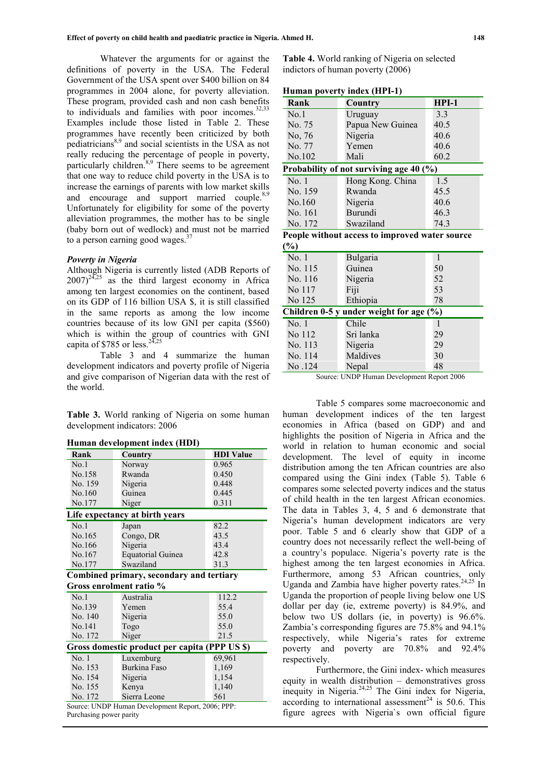Whatever the arguments for or against the definitions of poverty in the USA. The Federal Government of the USA spent over \$400 billion on 84 programmes in 2004 alone, for poverty alleviation. These program, provided cash and non cash benefits to individuals and families with poor incomes. $32,33$ Examples include those listed in Table 2. These programmes have recently been criticized by both pediatricians<sup>8,9</sup> and social scientists in the USA as not really reducing the percentage of people in poverty, particularly children.<sup>8,9</sup> There seems to be agreement that one way to reduce child poverty in the USA is to increase the earnings of parents with low market skills and encourage and support married couple.<sup>8,9</sup> Unfortunately for eligibility for some of the poverty alleviation programmes, the mother has to be single (baby born out of wedlock) and must not be married to a person earning good wages. $3$ 

#### *Poverty in Nigeria*

Although Nigeria is currently listed (ADB Reports of  $2007)^{24,25}$  as the third largest economy in Africa among ten largest economies on the continent, based on its GDP of 116 billion USA \$, it is still classified in the same reports as among the low income countries because of its low GNI per capita (\$560) which is within the group of countries with GNI capita of \$785 or less.<sup>24,25</sup>

Table 3 and 4 summarize the human development indicators and poverty profile of Nigeria and give comparison of Nigerian data with the rest of the world.

**Table 3.** World ranking of Nigeria on some human development indicators: 2006

| Human development index (HDI) |  |  |  |  |  |
|-------------------------------|--|--|--|--|--|
|-------------------------------|--|--|--|--|--|

|                         | $\cdots$                                          |                  |  |  |  |
|-------------------------|---------------------------------------------------|------------------|--|--|--|
| Rank                    | <b>Country</b>                                    | <b>HDI</b> Value |  |  |  |
| No.1                    | Norway                                            | 0.965            |  |  |  |
| No.158                  | Rwanda                                            | 0.450            |  |  |  |
| No. 159                 | Nigeria                                           | 0.448            |  |  |  |
| No.160                  | Guinea                                            | 0.445            |  |  |  |
| No.177                  | Niger                                             | 0.311            |  |  |  |
|                         | Life expectancy at birth years                    |                  |  |  |  |
| No.1                    | Japan                                             | 82.2             |  |  |  |
| No.165                  | Congo, DR                                         | 43.5             |  |  |  |
| No.166                  | Nigeria                                           | 43.4             |  |  |  |
| No.167                  | <b>Equatorial Guinea</b>                          | 42.8             |  |  |  |
| No.177                  | Swaziland                                         | 31.3             |  |  |  |
|                         | Combined primary, secondary and tertiary          |                  |  |  |  |
|                         | Gross enrolment ratio %                           |                  |  |  |  |
| No.1                    | Australia                                         | 112.2            |  |  |  |
| No.139                  | Yemen                                             | 55.4             |  |  |  |
| No. 140                 | Nigeria                                           | 55.0             |  |  |  |
| No.141                  | Togo                                              | 55.0             |  |  |  |
| No. 172                 | Niger                                             | 21.5             |  |  |  |
|                         | Gross domestic product per capita (PPP US \$)     |                  |  |  |  |
| No.1                    | Luxemburg                                         | 69,961           |  |  |  |
| No. 153                 | <b>Burkina Faso</b>                               | 1,169            |  |  |  |
| No. 154                 | Nigeria                                           | 1,154            |  |  |  |
| No. 155                 | Kenya                                             | 1,140            |  |  |  |
| No. 172                 | Sierra Leone                                      | 561              |  |  |  |
|                         | Source: UNDP Human Development Report, 2006; PPP: |                  |  |  |  |
| Purchasing power parity |                                                   |                  |  |  |  |

**Table 4.** World ranking of Nigeria on selected indictors of human poverty (2006)

**Human poverty index (HPI-1)**

| пишан ротсгту шисл (ни 1-1) |                                                |         |  |  |  |  |
|-----------------------------|------------------------------------------------|---------|--|--|--|--|
| Rank                        | <b>Country</b>                                 | $HPI-1$ |  |  |  |  |
| No.1                        | Uruguay                                        | 3.3     |  |  |  |  |
| No. 75                      | Papua New Guinea                               | 40.5    |  |  |  |  |
| No, 76                      | Nigeria                                        | 40.6    |  |  |  |  |
| No. 77                      | Yemen                                          | 40.6    |  |  |  |  |
| No.102                      | Mali                                           | 60.2    |  |  |  |  |
|                             | Probability of not surviving age 40 (%)        |         |  |  |  |  |
| No. 1                       | Hong Kong. China                               | 1.5     |  |  |  |  |
| No. 159                     | Rwanda                                         | 45.5    |  |  |  |  |
| No.160                      | Nigeria                                        | 40.6    |  |  |  |  |
| No. 161                     | Burundi                                        | 46.3    |  |  |  |  |
| No. 172                     | Swaziland                                      | 74.3    |  |  |  |  |
|                             | People without access to improved water source |         |  |  |  |  |
| $(\%)$                      |                                                |         |  |  |  |  |
| No.1                        | Bulgaria                                       | 1       |  |  |  |  |
| No. 115                     | Guinea                                         | 50      |  |  |  |  |
| No. 116                     | Nigeria                                        | 52      |  |  |  |  |
| No 117                      | Fiji                                           | 53      |  |  |  |  |
| No 125                      | Ethiopia                                       | 78      |  |  |  |  |
|                             | Children 0-5 y under weight for age (%)        |         |  |  |  |  |
| No.1                        | Chile                                          | 1       |  |  |  |  |
| No 112                      | Sri lanka                                      | 29      |  |  |  |  |
| No. 113                     | Nigeria                                        | 29      |  |  |  |  |
| No. 114                     | Maldives                                       | 30      |  |  |  |  |
| No.124                      | Nepal                                          | 48      |  |  |  |  |

Source: UNDP Human Development Report 2006

Table 5 compares some macroeconomic and human development indices of the ten largest economies in Africa (based on GDP) and and highlights the position of Nigeria in Africa and the world in relation to human economic and social development. The level of equity in income distribution among the ten African countries are also compared using the Gini index (Table 5). Table 6 compares some selected poverty indices and the status of child health in the ten largest African economies. The data in Tables 3, 4, 5 and 6 demonstrate that Nigeria's human development indicators are very poor. Table 5 and 6 clearly show that GDP of a country does not necessarily reflect the well-being of a country's populace. Nigeria's poverty rate is the highest among the ten largest economies in Africa. Furthermore, among 53 African countries, only Uganda and Zambia have higher poverty rates.<sup>24,25</sup> In Uganda the proportion of people living below one US dollar per day (ie, extreme poverty) is 84.9%, and below two US dollars (ie, in poverty) is 96.6%. Zambia's corresponding figures are 75.8% and 94.1% respectively, while Nigeria's rates for extreme poverty and poverty are 70.8% and 92.4% respectively.

Furthermore, the Gini index- which measures equity in wealth distribution – demonstratives gross inequity in Nigeria.<sup>24,25</sup> The Gini index for Nigeria, according to international assessment<sup>24</sup> is 50.6. This figure agrees with Nigeria`s own official figure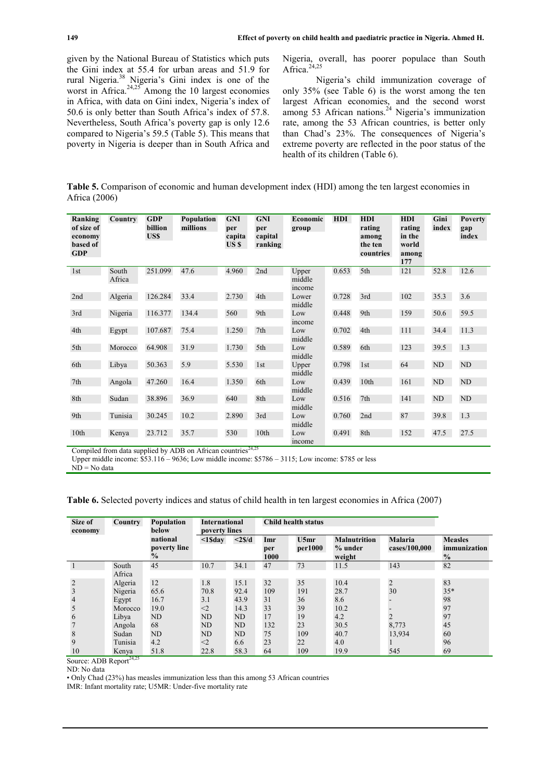given by the National Bureau of Statistics which puts the Gini index at 55.4 for urban areas and 51.9 for rural Nigeria.<sup>38</sup> Nigeria's Gini index is one of the worst in Africa. $24,25$  Among the 10 largest economies in Africa, with data on Gini index, Nigeria's index of 50.6 is only better than South Africa's index of 57.8. Nevertheless, South Africa's poverty gap is only 12.6 compared to Nigeria's 59.5 (Table 5). This means that poverty in Nigeria is deeper than in South Africa and

Nigeria, overall, has poorer populace than South Africa. $^{24,25}$ 

Nigeria's child immunization coverage of only 35% (see Table 6) is the worst among the ten largest African economies, and the second worst among 53 African nations.<sup>24</sup> Nigeria's immunization rate, among the 53 African countries, is better only than Chad's 23%. The consequences of Nigeria's extreme poverty are reflected in the poor status of the health of its children (Table 6).

**Table 5.** Comparison of economic and human development index (HDI) among the ten largest economies in Africa (2006)

| Ranking<br>of size of<br>economy<br>based of<br><b>GDP</b> | Country         | <b>GDP</b><br><b>billion</b><br>US\$ | Population<br>millions | <b>GNI</b><br>per<br>capita<br>US \$ | <b>GNI</b><br>per<br>capital<br>ranking | Economic<br>group         | <b>HDI</b> | <b>HDI</b><br>rating<br>among<br>the ten<br>countries | <b>HDI</b><br>rating<br>in the<br>world<br>among<br>177 | Gini<br>index | <b>Poverty</b><br>gap<br>index |
|------------------------------------------------------------|-----------------|--------------------------------------|------------------------|--------------------------------------|-----------------------------------------|---------------------------|------------|-------------------------------------------------------|---------------------------------------------------------|---------------|--------------------------------|
| 1st                                                        | South<br>Africa | 251.099                              | 47.6                   | 4.960                                | 2nd                                     | Upper<br>middle<br>income | 0.653      | 5th                                                   | 121                                                     | 52.8          | 12.6                           |
| 2nd                                                        | Algeria         | 126.284                              | 33.4                   | 2.730                                | 4th                                     | Lower<br>middle           | 0.728      | 3rd                                                   | 102                                                     | 35.3          | 3.6                            |
| 3rd                                                        | Nigeria         | 116.377                              | 134.4                  | 560                                  | 9th                                     | Low<br>income             | 0.448      | 9th                                                   | 159                                                     | 50.6          | 59.5                           |
| 4th                                                        | Egypt           | 107.687                              | 75.4                   | 1.250                                | 7th                                     | Low<br>middle             | 0.702      | 4th                                                   | 111                                                     | 34.4          | 11.3                           |
| 5th                                                        | Morocco         | 64.908                               | 31.9                   | 1.730                                | 5th                                     | Low<br>middle             | 0.589      | 6th                                                   | 123                                                     | 39.5          | 1.3                            |
| 6th                                                        | Libya           | 50.363                               | 5.9                    | 5.530                                | 1st                                     | Upper<br>middle           | 0.798      | 1st                                                   | 64                                                      | ND            | ND                             |
| 7th                                                        | Angola          | 47.260                               | 16.4                   | 1.350                                | 6th                                     | Low<br>middle             | 0.439      | 10th                                                  | 161                                                     | ND            | ND                             |
| 8th                                                        | Sudan           | 38.896                               | 36.9                   | 640                                  | 8th                                     | Low<br>middle             | 0.516      | 7th                                                   | 141                                                     | ND            | ND                             |
| 9th                                                        | Tunisia         | 30.245                               | 10.2                   | 2.890                                | 3rd                                     | Low<br>middle             | 0.760      | 2nd                                                   | 87                                                      | 39.8          | 1.3                            |
| 10th                                                       | Kenya           | 23.712                               | 35.7                   | 530                                  | 10th                                    | Low<br>income             | 0.491      | 8th                                                   | 152                                                     | 47.5          | 27.5                           |

Compiled from data supplied by ADB on African countries<sup>24,25</sup>

Upper middle income: \$53.116 – 9636; Low middle income: \$5786 – 3115; Low income: \$785 or less

 $ND = No$  data

**Table 6.** Selected poverty indices and status of child health in ten largest economies in Africa (2007)

| Size of<br>economy | <b>Country</b> | Population<br>below                       | <b>International</b><br>poverty lines |                       | <b>Child health status</b> |                 |                                          |                                 |                                                 |
|--------------------|----------------|-------------------------------------------|---------------------------------------|-----------------------|----------------------------|-----------------|------------------------------------------|---------------------------------|-------------------------------------------------|
|                    |                | national<br>poverty line<br>$\frac{0}{0}$ | $<$ 1 $S$ day                         | $\langle 2 \rangle d$ | Imr<br>per<br>1000         | U5mr<br>per1000 | <b>Malnutrition</b><br>% under<br>weight | <b>Malaria</b><br>cases/100,000 | <b>Measles</b><br>immunization<br>$\frac{0}{0}$ |
|                    | South          | 45                                        | 10.7                                  | 34.1                  | 47                         | 73              | 11.5                                     | 143                             | 82                                              |
|                    | Africa         |                                           |                                       |                       |                            |                 |                                          |                                 |                                                 |
| $\overline{2}$     | Algeria        | 12                                        | 1.8                                   | 15.1                  | 32                         | 35              | 10.4                                     | $\overline{2}$                  | 83                                              |
| $\overline{3}$     | Nigeria        | 65.6                                      | 70.8                                  | 92.4                  | 109                        | 191             | 28.7                                     | 30                              | $35*$                                           |
| $\overline{4}$     | Egypt          | 16.7                                      | 3.1                                   | 43.9                  | 31                         | 36              | 8.6                                      |                                 | 98                                              |
| 5                  | Morocco        | 19.0                                      | $<$ 2                                 | 14.3                  | 33                         | 39              | 10.2                                     |                                 | 97                                              |
| 6                  | Libya          | ND                                        | ND                                    | ND                    | 17                         | 19              | 4.2                                      | $\overline{2}$                  | 97                                              |
|                    | Angola         | 68                                        | ND                                    | ND                    | 132                        | 23              | 30.5                                     | 8,773                           | 45                                              |
| 8                  | Sudan          | <b>ND</b>                                 | ND                                    | ND                    | 75                         | 109             | 40.7                                     | 13,934                          | 60                                              |
| 9                  | Tunisia        | 4.2                                       | $<$ 2                                 | 6.6                   | 23                         | 22              | 4.0                                      |                                 | 96                                              |
| 10                 | Kenya          | 51.8                                      | 22.8                                  | 58.3                  | 64                         | 109             | 19.9                                     | 545                             | 69                                              |

Source: ADB Report<sup>24,25</sup>

ND: No data

• Only Chad (23%) has measles immunization less than this among 53 African countries

IMR: Infant mortality rate; U5MR: Under-five mortality rate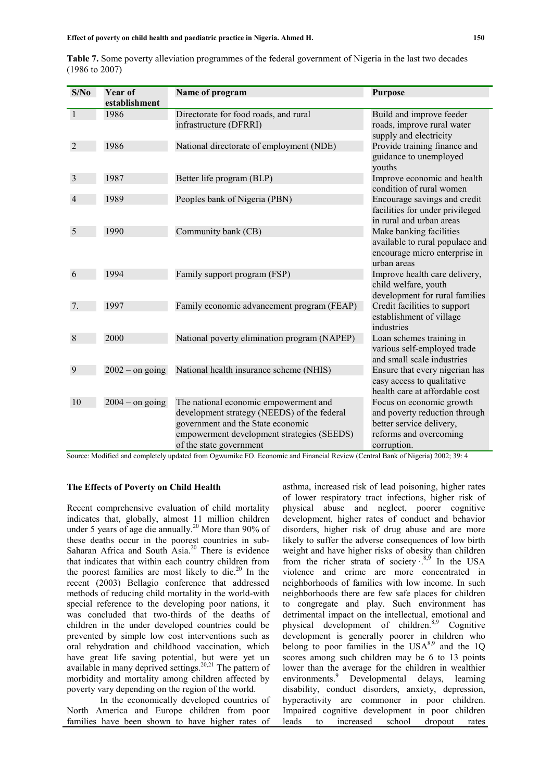|                           | Table 7. Some poverty alleviation programmes of the federal government of Nigeria in the last two decades |  |  |  |
|---------------------------|-----------------------------------------------------------------------------------------------------------|--|--|--|
| $(1986 \text{ to } 2007)$ |                                                                                                           |  |  |  |

| S/No         | Year of           | Name of program                              | <b>Purpose</b>                                      |
|--------------|-------------------|----------------------------------------------|-----------------------------------------------------|
|              | establishment     |                                              |                                                     |
| $\mathbf{1}$ | 1986              | Directorate for food roads, and rural        | Build and improve feeder                            |
|              |                   | infrastructure (DFRRI)                       | roads, improve rural water                          |
|              |                   |                                              | supply and electricity                              |
| 2            | 1986              | National directorate of employment (NDE)     | Provide training finance and                        |
|              |                   |                                              | guidance to unemployed                              |
|              |                   |                                              | youths                                              |
| 3            | 1987              | Better life program (BLP)                    | Improve economic and health                         |
|              |                   |                                              | condition of rural women                            |
|              | 1989              | Peoples bank of Nigeria (PBN)                | Encourage savings and credit                        |
|              |                   |                                              | facilities for under privileged                     |
| 5            | 1990              | Community bank (CB)                          | in rural and urban areas<br>Make banking facilities |
|              |                   |                                              | available to rural populace and                     |
|              |                   |                                              | encourage micro enterprise in                       |
|              |                   |                                              | urban areas                                         |
| 6            | 1994              | Family support program (FSP)                 | Improve health care delivery,                       |
|              |                   |                                              | child welfare, youth                                |
|              |                   |                                              | development for rural families                      |
| 7.           | 1997              | Family economic advancement program (FEAP)   | Credit facilities to support                        |
|              |                   |                                              | establishment of village                            |
|              |                   |                                              | industries                                          |
| 8            | 2000              | National poverty elimination program (NAPEP) | Loan schemes training in                            |
|              |                   |                                              | various self-employed trade                         |
|              |                   |                                              | and small scale industries                          |
| 9            | $2002 -$ on going | National health insurance scheme (NHIS)      | Ensure that every nigerian has                      |
|              |                   |                                              | easy access to qualitative                          |
|              |                   |                                              | health care at affordable cost                      |
| 10           | $2004 -$ on going | The national economic empowerment and        | Focus on economic growth                            |
|              |                   | development strategy (NEEDS) of the federal  | and poverty reduction through                       |
|              |                   | government and the State economic            | better service delivery,                            |
|              |                   | empowerment development strategies (SEEDS)   | reforms and overcoming                              |
|              |                   | of the state government                      | corruption.                                         |

Source: Modified and completely updated from Ogwumike FO. Economic and Financial Review (Central Bank of Nigeria) 2002; 39: 4

#### **The Effects of Poverty on Child Health**

Recent comprehensive evaluation of child mortality indicates that, globally, almost 11 million children under 5 years of age die annually.<sup>20</sup> More than 90% of these deaths occur in the poorest countries in sub-Saharan Africa and South Asia.<sup>20</sup> There is evidence that indicates that within each country children from the poorest families are most likely to die. $^{20}$  In the recent (2003) Bellagio conference that addressed methods of reducing child mortality in the world-with special reference to the developing poor nations, it was concluded that two-thirds of the deaths of children in the under developed countries could be prevented by simple low cost interventions such as oral rehydration and childhood vaccination, which have great life saving potential, but were yet un available in many deprived settings. $20,21$  The pattern of morbidity and mortality among children affected by poverty vary depending on the region of the world.

In the economically developed countries of North America and Europe children from poor families have been shown to have higher rates of leads

asthma, increased risk of lead poisoning, higher rates of lower respiratory tract infections, higher risk of physical abuse and neglect, poorer cognitive development, higher rates of conduct and behavior disorders, higher risk of drug abuse and are more likely to suffer the adverse consequences of low birth weight and have higher risks of obesity than children from the richer strata of society  $\cdot^{8,9}$  In the USA violence and crime are more concentrated in neighborhoods of families with low income. In such neighborhoods there are few safe places for children to congregate and play. Such environment has detrimental impact on the intellectual, emotional and physical development of children.<sup>8,9</sup> Cognitive development is generally poorer in children who belong to poor families in the  $USA^{8,9}$  and the 1Q scores among such children may be 6 to 13 points lower than the average for the children in wealthier environments.<sup>9</sup> Developmental delays, learning disability, conduct disorders, anxiety, depression, hyperactivity are commoner in poor children. Impaired cognitive development in poor children to increased school dropout rates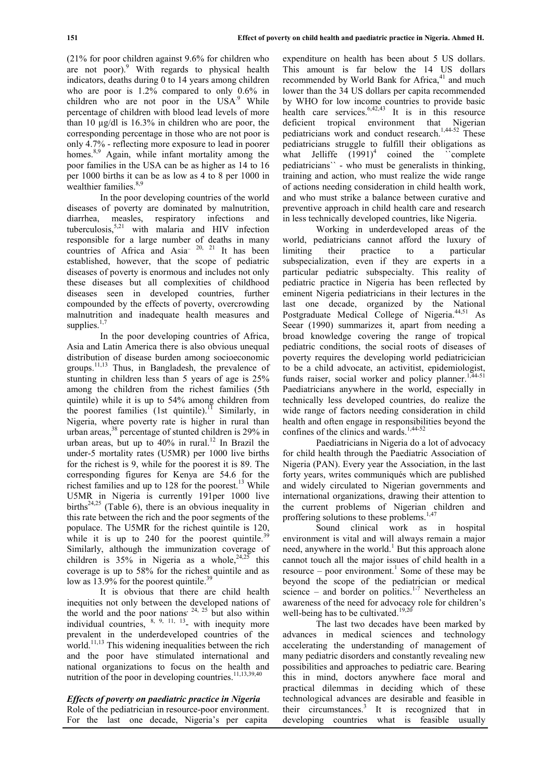(21% for poor children against 9.6% for children who are not poor). $9$  With regards to physical health indicators, deaths during 0 to 14 years among children who are poor is 1.2% compared to only 0.6% in children who are not poor in the  $USA<sup>9</sup>$  While percentage of children with blood lead levels of more than 10 µg/dl is 16.3% in children who are poor, the corresponding percentage in those who are not poor is only 4.7% - reflecting more exposure to lead in poorer homes.<sup>8,9</sup> Again, while infant mortality among the poor families in the USA can be as higher as 14 to 16 per 1000 births it can be as low as 4 to 8 per 1000 in wealthier families.<sup>8,9</sup>

In the poor developing countries of the world diseases of poverty are dominated by malnutrition, diarrhea, measles, respiratory infections and tuberculosis,  $5.21$  with malaria and HIV infection responsible for a large number of deaths in many countries of Africa and Asia<sup> $20$ , 21</sup> It has been established, however, that the scope of pediatric diseases of poverty is enormous and includes not only these diseases but all complexities of childhood diseases seen in developed countries, further compounded by the effects of poverty, overcrowding malnutrition and inadequate health measures and supplies. $1,7$ 

In the poor developing countries of Africa, Asia and Latin America there is also obvious unequal distribution of disease burden among socioeconomic groups.11,13 Thus, in Bangladesh, the prevalence of stunting in children less than 5 years of age is 25% among the children from the richest families (5th quintile) while it is up to 54% among children from the poorest families (1st quintile).<sup>11</sup> Similarly, in Nigeria, where poverty rate is higher in rural than urban areas, $^{38}$  percentage of stunted children is 29% in urban areas, but up to  $40\%$  in rural.<sup>12</sup> In Brazil the under-5 mortality rates (U5MR) per 1000 live births for the richest is 9, while for the poorest it is 89. The corresponding figures for Kenya are 54.6 for the richest families and up to 128 for the poorest.<sup>13</sup> While U5MR in Nigeria is currently 191per 1000 live births<sup>24,25</sup> (Table 6), there is an obvious inequality in this rate between the rich and the poor segments of the populace. The U5MR for the richest quintile is 120, while it is up to  $240$  for the poorest quintile.<sup>39</sup> Similarly, although the immunization coverage of children is  $35\%$  in Nigeria as a whole,  $24,25$  this coverage is up to 58% for the richest quintile and as low as  $13.9\%$  for the poorest quintile.<sup>39</sup>

It is obvious that there are child health inequities not only between the developed nations of the world and the poor nations<sup>, 24, 25</sup> but also within individual countries,  $8, 9, 11, 13$  with inequity more prevalent in the underdeveloped countries of the world.<sup>11,13</sup> This widening inequalities between the rich and the poor have stimulated international and national organizations to focus on the health and nutrition of the poor in developing countries.<sup>11,13,39,40</sup>

# *Effects of poverty on paediatric practice in Nigeria*

Role of the pediatrician in resource-poor environment. For the last one decade, Nigeria's per capita

expenditure on health has been about 5 US dollars. This amount is far below the 14 US dollars recommended by World Bank for Africa,<sup>41</sup> and much lower than the 34 US dollars per capita recommended by WHO for low income countries to provide basic health care services. $6,42,43$  It is in this resource deficient tropical environment that Nigerian pediatricians work and conduct research.1,44-52 These pediatricians struggle to fulfill their obligations as what Jelliffe  $(1991)^4$  coined the complete pediatricians`` - who must be generalists in thinking, training and action, who must realize the wide range of actions needing consideration in child health work, and who must strike a balance between curative and preventive approach in child health care and research in less technically developed countries, like Nigeria.

Working in underdeveloped areas of the world, pediatricians cannot afford the luxury of limiting their practice to a particular subspecialization, even if they are experts in a particular pediatric subspecialty. This reality of pediatric practice in Nigeria has been reflected by eminent Nigeria pediatricians in their lectures in the last one decade, organized by the National Postgraduate Medical College of Nigeria.<sup>44,51</sup> As Seear (1990) summarizes it, apart from needing a broad knowledge covering the range of tropical pediatric conditions, the social roots of diseases of poverty requires the developing world pediatricician to be a child advocate, an activitist, epidemiologist, funds raiser, social worker and policy planner.<sup>1,44-51</sup> Paediatricians anywhere in the world, especially in technically less developed countries, do realize the wide range of factors needing consideration in child health and often engage in responsibilities beyond the confines of the clinics and wards.<sup>1,44-52</sup>

Paediatricians in Nigeria do a lot of advocacy for child health through the Paediatric Association of Nigeria (PAN). Every year the Association, in the last forty years, writes communiqués which are published and widely circulated to Nigerian governments and international organizations, drawing their attention to the current problems of Nigerian children and proffering solutions to these problems.<sup>1,47</sup>

Sound clinical work as in hospital environment is vital and will always remain a major need, anywhere in the world.<sup>1</sup> But this approach alone cannot touch all the major issues of child health in a resource – poor environment.<sup>1</sup> Some of these may be beyond the scope of the pediatrician or medical science – and border on politics.<sup>1-7</sup> Nevertheless an awareness of the need for advocacy role for children's well-being has to be cultivated.<sup>19,20</sup>

The last two decades have been marked by advances in medical sciences and technology accelerating the understanding of management of many pediatric disorders and constantly revealing new possibilities and approaches to pediatric care. Bearing this in mind, doctors anywhere face moral and practical dilemmas in deciding which of these technological advances are desirable and feasible in their circumstances.<sup>3</sup> It is recognized that in developing countries what is feasible usually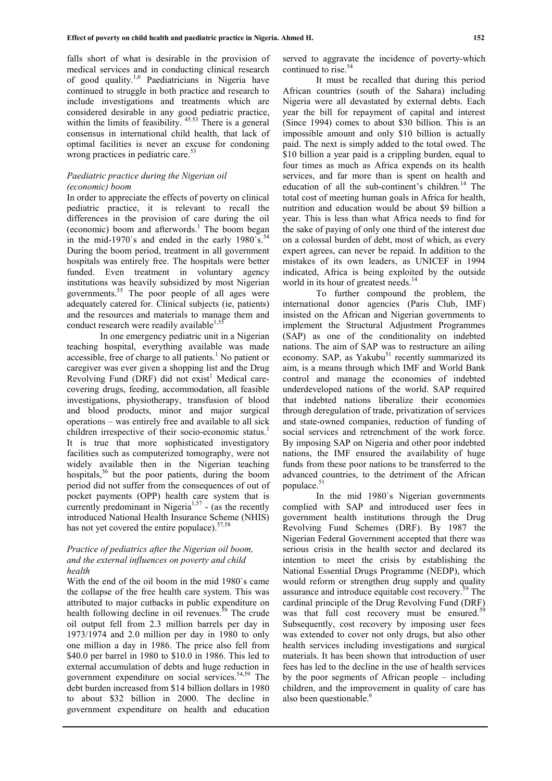falls short of what is desirable in the provision of medical services and in conducting clinical research of good quality.1,6 Paediatricians in Nigeria have continued to struggle in both practice and research to include investigations and treatments which are considered desirable in any good pediatric practice, within the limits of feasibility.  $45.53$  There is a general consensus in international child health, that lack of optimal facilities is never an excuse for condoning wrong practices in pediatric care.<sup>53</sup>

#### *Paediatric practice during the Nigerian oil (economic) boom*

In order to appreciate the effects of poverty on clinical pediatric practice, it is relevant to recall the differences in the provision of care during the oil (economic) boom and afterwords.<sup>1</sup> The boom began in the mid-1970's and ended in the early  $1980$ 's.<sup>54</sup> During the boom period, treatment in all government hospitals was entirely free. The hospitals were better funded. Even treatment in voluntary agency institutions was heavily subsidized by most Nigerian governments.<sup>55</sup> The poor people of all ages were adequately catered for. Clinical subjects (ie, patients) and the resources and materials to manage them and conduct research were readily available<sup>1,55</sup>

In one emergency pediatric unit in a Nigerian teaching hospital, everything available was made accessible, free of charge to all patients.<sup>1</sup> No patient or caregiver was ever given a shopping list and the Drug Revolving Fund (DRF) did not  $exist$ <sup>1</sup> Medical carecovering drugs, feeding, accommodation, all feasible investigations, physiotherapy, transfusion of blood and blood products, minor and major surgical operations – was entirely free and available to all sick children irrespective of their socio-economic status.<sup>1</sup> It is true that more sophisticated investigatory facilities such as computerized tomography, were not widely available then in the Nigerian teaching hospitals,<sup>56</sup> but the poor patients, during the boom period did not suffer from the consequences of out of pocket payments (OPP) health care system that is currently predominant in Nigeria<sup>1,57</sup> - (as the recently introduced National Health Insurance Scheme (NHIS) has not yet covered the entire populace).  $57,58$ 

## *Practice of pediatrics after the Nigerian oil boom, and the external influences on poverty and child health*

With the end of the oil boom in the mid 1980`s came the collapse of the free health care system. This was attributed to major cutbacks in public expenditure on health following decline in oil revenues. $59$  The crude oil output fell from 2.3 million barrels per day in 1973/1974 and 2.0 million per day in 1980 to only one million a day in 1986. The price also fell from \$40.0 per barrel in 1980 to \$10.0 in 1986. This led to external accumulation of debts and huge reduction in government expenditure on social services. $54,59$  The debt burden increased from \$14 billion dollars in 1980 to about \$32 billion in 2000. The decline in government expenditure on health and education

served to aggravate the incidence of poverty-which continued to rise.<sup>54</sup>

It must be recalled that during this period African countries (south of the Sahara) including Nigeria were all devastated by external debts. Each year the bill for repayment of capital and interest (Since 1994) comes to about \$30 billion. This is an impossible amount and only \$10 billion is actually paid. The next is simply added to the total owed. The \$10 billion a year paid is a crippling burden, equal to four times as much as Africa expends on its health services, and far more than is spent on health and education of all the sub-continent's children.<sup>14</sup> The total cost of meeting human goals in Africa for health, nutrition and education would be about \$9 billion a year. This is less than what Africa needs to find for the sake of paying of only one third of the interest due on a colossal burden of debt, most of which, as every expert agrees, can never be repaid. In addition to the mistakes of its own leaders, as UNICEF in 1994 indicated, Africa is being exploited by the outside world in its hour of greatest needs. 14

To further compound the problem, the international donor agencies (Paris Club, IMF) insisted on the African and Nigerian governments to implement the Structural Adjustment Programmes (SAP) as one of the conditionality on indebted nations. The aim of SAP was to restructure an ailing economy. SAP, as Yakubu $51$  recently summarized its aim, is a means through which IMF and World Bank control and manage the economies of indebted underdeveloped nations of the world. SAP required that indebted nations liberalize their economies through deregulation of trade, privatization of services and state-owned companies, reduction of funding of social services and retrenchment of the work force. By imposing SAP on Nigeria and other poor indebted nations, the IMF ensured the availability of huge funds from these poor nations to be transferred to the advanced countries, to the detriment of the African populace. $5$ 

In the mid 1980`s Nigerian governments complied with SAP and introduced user fees in government health institutions through the Drug Revolving Fund Schemes (DRF). By 1987 the Nigerian Federal Government accepted that there was serious crisis in the health sector and declared its intention to meet the crisis by establishing the National Essential Drugs Programme (NEDP), which would reform or strengthen drug supply and quality assurance and introduce equitable cost recovery.<sup>59</sup> The cardinal principle of the Drug Revolving Fund (DRF) was that full cost recovery must be ensured.<sup>59</sup> Subsequently, cost recovery by imposing user fees was extended to cover not only drugs, but also other health services including investigations and surgical materials. It has been shown that introduction of user fees has led to the decline in the use of health services by the poor segments of African people – including children, and the improvement in quality of care has also been questionable.<sup>6</sup>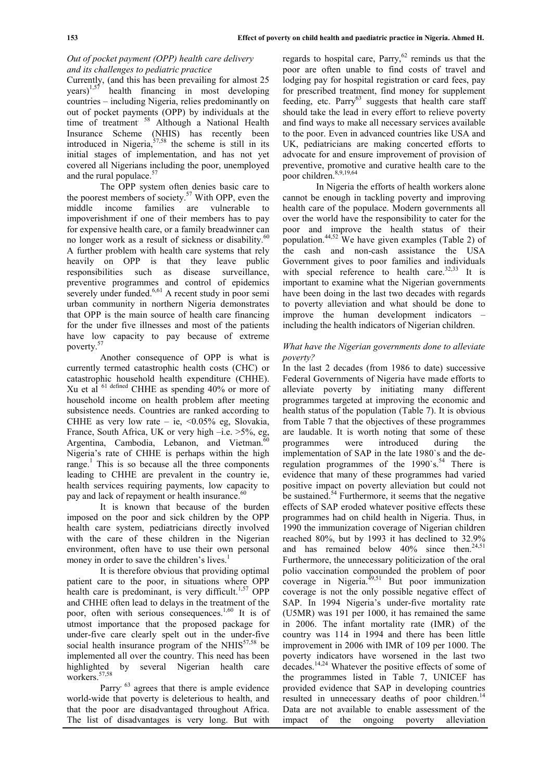## *Out of pocket payment (OPP) health care delivery and its challenges to pediatric practice*

Currently, (and this has been prevailing for almost 25  $\text{years}$ )<sup>1,57</sup> health financing in most developing countries – including Nigeria, relies predominantly on out of pocket payments (OPP) by individuals at the time of treatment. <sup>58</sup> Although a National Health Insurance Scheme (NHIS) has recently been introduced in Nigeria,  $57,58$  the scheme is still in its initial stages of implementation, and has not yet covered all Nigerians including the poor, unemployed and the rural populace.<sup>57</sup>

The OPP system often denies basic care to the poorest members of society.<sup>57</sup> With OPP, even the middle income families are vulnerable to impoverishment if one of their members has to pay for expensive health care, or a family breadwinner can no longer work as a result of sickness or disability.<sup>6</sup> A further problem with health care systems that rely heavily on OPP is that they leave public responsibilities such as disease surveillance, preventive programmes and control of epidemics severely under funded. $6,61$  A recent study in poor semi urban community in northern Nigeria demonstrates that OPP is the main source of health care financing for the under five illnesses and most of the patients have low capacity to pay because of extreme poverty.<sup>5</sup>

Another consequence of OPP is what is currently termed catastrophic health costs (CHC) or catastrophic household health expenditure (CHHE). Xu et al  $^{61}$  defined CHHE as spending 40% or more of  $\epsilon$ household income on health problem after meeting subsistence needs. Countries are ranked according to CHHE as very low rate – ie, < $0.05\%$  eg, Slovakia, France, South Africa, UK or very high –i.e. >5%, eg, Argentina, Cambodia, Lebanon, and Vietman.<sup>60</sup> Nigeria's rate of CHHE is perhaps within the high range.<sup>1</sup> This is so because all the three components leading to CHHE are prevalent in the country ie, health services requiring payments, low capacity to pay and lack of repayment or health insurance.<sup>60</sup>

It is known that because of the burden imposed on the poor and sick children by the OPP health care system, pediatricians directly involved with the care of these children in the Nigerian environment, often have to use their own personal money in order to save the children's lives.<sup>1</sup>

It is therefore obvious that providing optimal patient care to the poor, in situations where OPP health care is predominant, is very difficult.<sup>1,57</sup> OPP and CHHE often lead to delays in the treatment of the poor, often with serious consequences.<sup>1,60</sup> It is of utmost importance that the proposed package for under-five care clearly spelt out in the under-five social health insurance program of the NHIS $57,58$  be implemented all over the country. This need has been highlighted by several Nigerian health care workers.<sup>57,58</sup>

Parry<sup>63</sup> agrees that there is ample evidence world-wide that poverty is deleterious to health, and that the poor are disadvantaged throughout Africa. The list of disadvantages is very long. But with

regards to hospital care, Parry, $62$  reminds us that the poor are often unable to find costs of travel and lodging pay for hospital registration or card fees, pay for prescribed treatment, find money for supplement feeding, etc.  $Parrow<sup>63</sup>$  suggests that health care staff should take the lead in every effort to relieve poverty and find ways to make all necessary services available to the poor. Even in advanced countries like USA and UK, pediatricians are making concerted efforts to advocate for and ensure improvement of provision of preventive, promotive and curative health care to the poor children.8,9,19,64

In Nigeria the efforts of health workers alone cannot be enough in tackling poverty and improving health care of the populace. Modern governments all over the world have the responsibility to cater for the poor and improve the health status of their population.<sup>44,52</sup> We have given examples (Table 2) of the cash and non-cash assistance the USA Government gives to poor families and individuals with special reference to health care. $32,33$  It is important to examine what the Nigerian governments have been doing in the last two decades with regards to poverty alleviation and what should be done to improve the human development indicators – including the health indicators of Nigerian children.

## *What have the Nigerian governments done to alleviate poverty?*

In the last 2 decades (from 1986 to date) successive Federal Governments of Nigeria have made efforts to alleviate poverty by initiating many different programmes targeted at improving the economic and health status of the population (Table 7). It is obvious from Table 7 that the objectives of these programmes are laudable. It is worth noting that some of these programmes were introduced during the implementation of SAP in the late 1980`s and the deregulation programmes of the  $1990^\circ$ s.<sup>54</sup> There is evidence that many of these programmes had varied positive impact on poverty alleviation but could not be sustained. $54$  Furthermore, it seems that the negative effects of SAP eroded whatever positive effects these programmes had on child health in Nigeria. Thus, in 1990 the immunization coverage of Nigerian children reached 80%, but by 1993 it has declined to 32.9% and has remained below  $40\%$  since then.<sup>24,51</sup> Furthermore, the unnecessary politicization of the oral polio vaccination compounded the problem of poor coverage in Nigeria.<sup>49,51</sup> But poor immunization coverage is not the only possible negative effect of SAP. In 1994 Nigeria's under-five mortality rate (U5MR) was 191 per 1000, it has remained the same in 2006. The infant mortality rate (IMR) of the country was 114 in 1994 and there has been little improvement in 2006 with IMR of 109 per 1000. The poverty indicators have worsened in the last two decades.14,24 Whatever the positive effects of some of the programmes listed in Table 7, UNICEF has provided evidence that SAP in developing countries resulted in unnecessary deaths of poor children. $<sup>1</sup>$ </sup> Data are not available to enable assessment of the impact of the ongoing poverty alleviation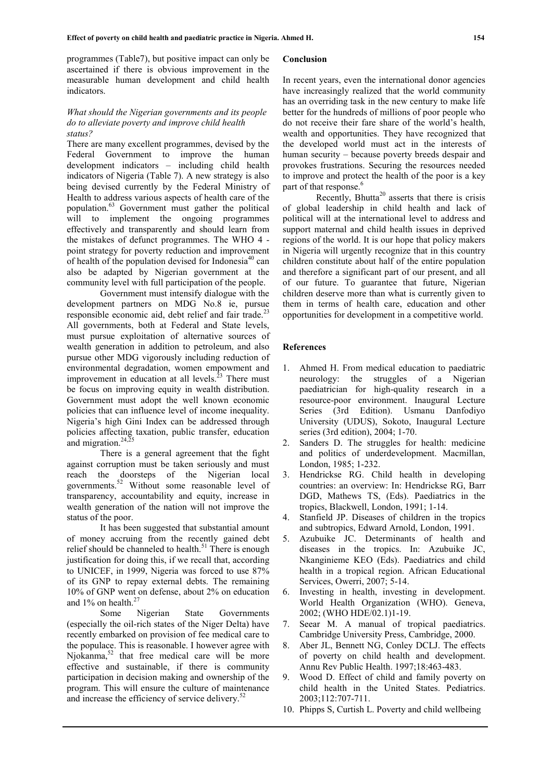programmes (Table7), but positive impact can only be ascertained if there is obvious improvement in the measurable human development and child health indicators.

#### *What should the Nigerian governments and its people do to alleviate poverty and improve child health status?*

There are many excellent programmes, devised by the Federal Government to improve the human development indicators – including child health indicators of Nigeria (Table 7). A new strategy is also being devised currently by the Federal Ministry of Health to address various aspects of health care of the population.<sup>63</sup> Government must gather the political will to implement the ongoing programmes effectively and transparently and should learn from the mistakes of defunct programmes. The WHO 4 point strategy for poverty reduction and improvement of health of the population devised for Indonesia<sup>40</sup> can also be adapted by Nigerian government at the community level with full participation of the people.

Government must intensify dialogue with the development partners on MDG No.8 ie, pursue responsible economic aid, debt relief and fair trade.<sup>23</sup> All governments, both at Federal and State levels, must pursue exploitation of alternative sources of wealth generation in addition to petroleum, and also pursue other MDG vigorously including reduction of environmental degradation, women empowment and improvement in education at all levels. $^{23}$  There must be focus on improving equity in wealth distribution. Government must adopt the well known economic policies that can influence level of income inequality. Nigeria's high Gini Index can be addressed through policies affecting taxation, public transfer, education and migration.<sup>24, $\overline{2}5$ </sup>

There is a general agreement that the fight against corruption must be taken seriously and must reach the doorsteps of the Nigerian local governments.<sup>52</sup> Without some reasonable level of transparency, accountability and equity, increase in wealth generation of the nation will not improve the status of the poor.

It has been suggested that substantial amount of money accruing from the recently gained debt relief should be channeled to health.<sup>51</sup> There is enough justification for doing this, if we recall that, according to UNICEF, in 1999, Nigeria was forced to use 87% of its GNP to repay external debts. The remaining 10% of GNP went on defense, about 2% on education and 1% on health.<sup>27</sup>

Some Nigerian State Governments (especially the oil-rich states of the Niger Delta) have recently embarked on provision of fee medical care to the populace. This is reasonable. I however agree with Njokanma,<sup>52</sup> that free medical care will be more effective and sustainable, if there is community participation in decision making and ownership of the 9. program. This will ensure the culture of maintenance and increase the efficiency of service delivery.<sup>52</sup>

#### **Conclusion**

In recent years, even the international donor agencies have increasingly realized that the world community has an overriding task in the new century to make life better for the hundreds of millions of poor people who do not receive their fare share of the world's health, wealth and opportunities. They have recognized that the developed world must act in the interests of human security – because poverty breeds despair and provokes frustrations. Securing the resources needed to improve and protect the health of the poor is a key part of that response.<sup>6</sup>

Recently, Bhutta<sup>20</sup> asserts that there is crisis of global leadership in child health and lack of political will at the international level to address and support maternal and child health issues in deprived regions of the world. It is our hope that policy makers in Nigeria will urgently recognize that in this country children constitute about half of the entire population and therefore a significant part of our present, and all of our future. To guarantee that future, Nigerian children deserve more than what is currently given to them in terms of health care, education and other opportunities for development in a competitive world.

#### **References**

- 1. Ahmed H. From medical education to paediatric neurology: the struggles of a Nigerian paediatrician for high-quality research in a resource-poor environment. Inaugural Lecture Series (3rd Edition). Usmanu Danfodiyo University (UDUS), Sokoto, Inaugural Lecture series (3rd edition), 2004; 1-70.
- 2. Sanders D. The struggles for health: medicine and politics of underdevelopment. Macmillan, London, 1985; 1-232.
- 3. Hendrickse RG. Child health in developing countries: an overview: In: Hendrickse RG, Barr DGD, Mathews TS, (Eds). Paediatrics in the tropics, Blackwell, London, 1991; 1-14.
- 4. Stanfield JP. Diseases of children in the tropics and subtropics, Edward Arnold, London, 1991.
- 5. Azubuike JC. Determinants of health and diseases in the tropics. In: Azubuike JC, Nkanginieme KEO (Eds). Paediatrics and child health in a tropical region. African Educational Services, Owerri, 2007; 5-14.
- 6. Investing in health, investing in development. World Health Organization (WHO). Geneva, 2002; (WHO HDE/02.1)1-19.
- 7. Seear M. A manual of tropical paediatrics. Cambridge University Press, Cambridge, 2000.
- 8. Aber JL, Bennett NG, Conley DCLJ. The effects of poverty on child health and development. Annu Rev Public Health. 1997;18:463-483.
- Wood D. Effect of child and family poverty on child health in the United States. Pediatrics. 2003;112:707-711.
- 10. Phipps S, Curtish L. Poverty and child wellbeing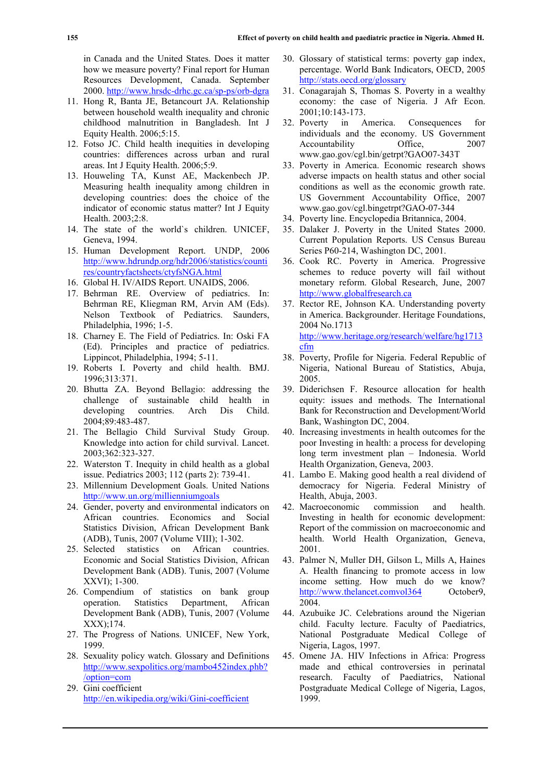in Canada and the United States. Does it matter how we measure poverty? Final report for Human Resources Development, Canada. September 2000. http://www.hrsdc-drhc.gc.ca/sp-ps/orb-dgra

- 11. Hong R, Banta JE, Betancourt JA. Relationship between household wealth inequality and chronic childhood malnutrition in Bangladesh. Int J Equity Health. 2006;5:15.
- 12. Fotso JC. Child health inequities in developing countries: differences across urban and rural areas. Int J Equity Health. 2006;5:9.
- 13. Houweling TA, Kunst AE, Mackenbech JP. Measuring health inequality among children in developing countries: does the choice of the indicator of economic status matter? Int J Equity Health. 2003;2:8.
- 14. The state of the world`s children. UNICEF, Geneva, 1994.
- 15. Human Development Report. UNDP, 2006 http://www.hdrundp.org/hdr2006/statistics/counti res/countryfactsheets/ctyfsNGA.html
- 16. Global H. IV/AIDS Report. UNAIDS, 2006.
- 17. Behrman RE. Overview of pediatrics. In: Behrman RE, Kliegman RM, Arvin AM (Eds). Nelson Textbook of Pediatrics. Saunders, Philadelphia, 1996; 1-5.
- 18. Charney E. The Field of Pediatrics. In: Oski FA (Ed). Principles and practice of pediatrics. Lippincot, Philadelphia, 1994; 5-11.
- 19. Roberts I. Poverty and child health. BMJ. 1996;313:371.
- 20. Bhutta ZA. Beyond Bellagio: addressing the challenge of sustainable child health in developing countries. Arch Dis Child. 2004;89:483-487.
- 21. The Bellagio Child Survival Study Group. Knowledge into action for child survival. Lancet. 2003;362:323-327.
- 22. Waterston T. Inequity in child health as a global issue. Pediatrics 2003; 112 (parts 2): 739-41.
- 23. Millennium Development Goals. United Nations http://www.un.org/millienniumgoals
- 24. Gender, poverty and environmental indicators on African countries. Economics and Social Statistics Division, African Development Bank (ADB), Tunis, 2007 (Volume VIII); 1-302.
- 25. Selected statistics on African countries. Economic and Social Statistics Division, African Development Bank (ADB). Tunis, 2007 (Volume XXVI); 1-300.
- 26. Compendium of statistics on bank group operation. Statistics Department, African Development Bank (ADB), Tunis, 2007 (Volume XXX);174.
- 27. The Progress of Nations. UNICEF, New York, 1999.
- 28. Sexuality policy watch. Glossary and Definitions http://www.sexpolitics.org/mambo452index.phb? /option=com
- 29. Gini coefficient http://en.wikipedia.org/wiki/Gini-coefficient
- 30. Glossary of statistical terms: poverty gap index, percentage. World Bank Indicators, OECD, 2005 http://stats.oecd.org/glossary
- 31. Conagarajah S, Thomas S. Poverty in a wealthy economy: the case of Nigeria. J Afr Econ. 2001;10:143-173.
- 32. Poverty in America. Consequences for individuals and the economy. US Government Accountability Office, 2007 www.gao.gov/cgl.bin/getrpt?GAO07-343T
- 33. Poverty in America. Economic research shows adverse impacts on health status and other social conditions as well as the economic growth rate. US Government Accountability Office, 2007 www.gao.gov/cgl.bingetrpt?GAO-07-344
- 34. Poverty line. Encyclopedia Britannica, 2004.
- 35. Dalaker J. Poverty in the United States 2000. Current Population Reports. US Census Bureau Series P60-214, Washington DC, 2001.
- 36. Cook RC. Poverty in America. Progressive schemes to reduce poverty will fail without monetary reform. Global Research, June, 2007 http://www.globalfresearch.ca
- 37. Rector RE, Johnson KA. Understanding poverty in America. Backgrounder. Heritage Foundations, 2004 No.1713 http://www.heritage.org/research/welfare/hg1713 cfm
- 38. Poverty, Profile for Nigeria. Federal Republic of Nigeria, National Bureau of Statistics, Abuja, 2005.
- 39. Diderichsen F. Resource allocation for health equity: issues and methods. The International Bank for Reconstruction and Development/World Bank, Washington DC, 2004.
- 40. Increasing investments in health outcomes for the poor Investing in health: a process for developing long term investment plan – Indonesia. World Health Organization, Geneva, 2003.
- 41. Lambo E. Making good health a real dividend of democracy for Nigeria. Federal Ministry of Health, Abuja, 2003.
- 42. Macroeconomic commission and health. Investing in health for economic development: Report of the commission on macroeconomic and health. World Health Organization, Geneva, 2001.
- 43. Palmer N, Muller DH, Gilson L, Mills A, Haines A. Health financing to promote access in low income setting. How much do we know? http://www.thelancet.comvol364 October9, 2004.
- 44. Azubuike JC. Celebrations around the Nigerian child. Faculty lecture. Faculty of Paediatrics, National Postgraduate Medical College of Nigeria, Lagos, 1997.
- 45. Omene JA. HIV Infections in Africa: Progress made and ethical controversies in perinatal research. Faculty of Paediatrics, National Postgraduate Medical College of Nigeria, Lagos, 1999.